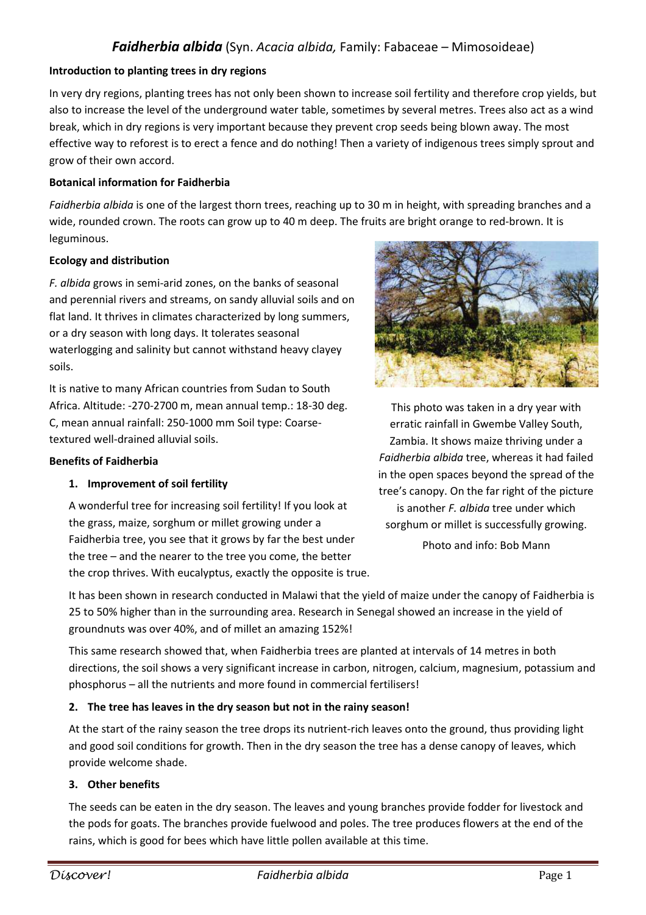# *Faidherbia albida* (Syn. *Acacia albida,* Family: Fabaceae – Mimosoideae)

### **Introduction to planting trees in dry regions**

In very dry regions, planting trees has not only been shown to increase soil fertility and therefore crop yields, but also to increase the level of the underground water table, sometimes by several metres. Trees also act as a wind break, which in dry regions is very important because they prevent crop seeds being blown away. The most effective way to reforest is to erect a fence and do nothing! Then a variety of indigenous trees simply sprout and grow of their own accord.

### **Botanical information for Faidherbia**

*Faidherbia albida* is one of the largest thorn trees, reaching up to 30 m in height, with spreading branches and a wide, rounded crown. The roots can grow up to 40 m deep. The fruits are bright orange to red-brown. It is leguminous.

### **Ecology and distribution**

*F. albida* grows in semi-arid zones, on the banks of seasonal and perennial rivers and streams, on sandy alluvial soils and on flat land. It thrives in climates characterized by long summers, or a dry season with long days. It tolerates seasonal waterlogging and salinity but cannot withstand heavy clayey soils.

It is native to many African countries from Sudan to South Africa. Altitude: -270-2700 m, mean annual temp.: 18-30 deg. C, mean annual rainfall: 250-1000 mm Soil type: Coarsetextured well-drained alluvial soils.

#### **Benefits of Faidherbia**

### **1. Improvement of soil fertility**

A wonderful tree for increasing soil fertility! If you look at the grass, maize, sorghum or millet growing under a Faidherbia tree, you see that it grows by far the best under the tree – and the nearer to the tree you come, the better the crop thrives. With eucalyptus, exactly the opposite is true.



This photo was taken in a dry year with erratic rainfall in Gwembe Valley South, Zambia. It shows maize thriving under a *Faidherbia albida* tree, whereas it had failed in the open spaces beyond the spread of the tree's canopy. On the far right of the picture is another *F. albida* tree under which sorghum or millet is successfully growing.

Photo and info: Bob Mann

It has been shown in research conducted in Malawi that the yield of maize under the canopy of Faidherbia is 25 to 50% higher than in the surrounding area. Research in Senegal showed an increase in the yield of groundnuts was over 40%, and of millet an amazing 152%!

This same research showed that, when Faidherbia trees are planted at intervals of 14 metres in both directions, the soil shows a very significant increase in carbon, nitrogen, calcium, magnesium, potassium and phosphorus – all the nutrients and more found in commercial fertilisers!

### **2. The tree has leaves in the dry season but not in the rainy season!**

At the start of the rainy season the tree drops its nutrient-rich leaves onto the ground, thus providing light and good soil conditions for growth. Then in the dry season the tree has a dense canopy of leaves, which provide welcome shade.

### **3. Other benefits**

The seeds can be eaten in the dry season. The leaves and young branches provide fodder for livestock and the pods for goats. The branches provide fuelwood and poles. The tree produces flowers at the end of the rains, which is good for bees which have little pollen available at this time.